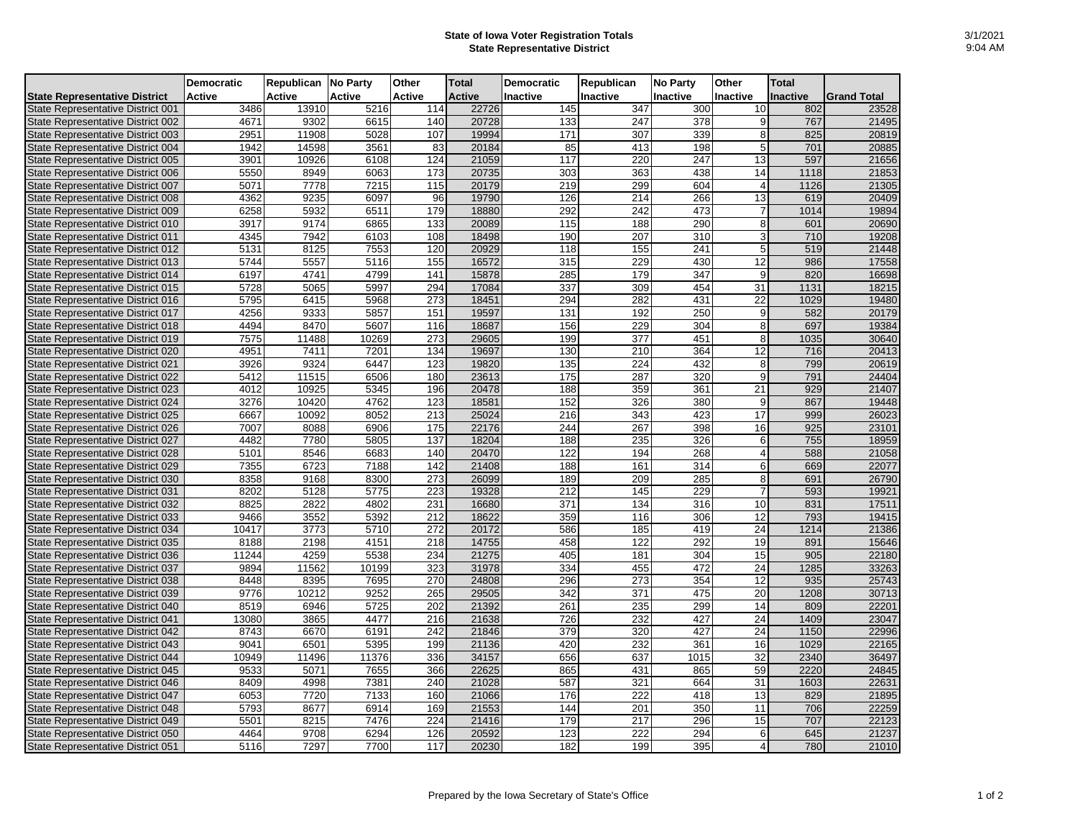## **State of Iowa Voter Registration Totals State Representative District**

|                                          | <b>Democratic</b> | Republican No Party |               | Other  | <b>Total</b>  | <b>Democratic</b> | Republican       | <b>No Party</b>  | Other           | <b>Total</b>    |                    |
|------------------------------------------|-------------------|---------------------|---------------|--------|---------------|-------------------|------------------|------------------|-----------------|-----------------|--------------------|
| <b>State Representative District</b>     | <b>Active</b>     | Active              | <b>Active</b> | Active | <b>Active</b> | Inactive          | <b>Inactive</b>  | <b>Inactive</b>  | Inactive        | <b>Inactive</b> | <b>Grand Total</b> |
| <b>State Representative District 001</b> | 3486              | 13910               | 5216          | 114    | 22726         | 145               | 347              | 300              | 10              | 802             | 23528              |
| State Representative District 002        | 4671              | 9302                | 6615          | 140    | 20728         | 133               | 247              | 378              | 9               | 767             | 21495              |
| State Representative District 003        | 2951              | 11908               | 5028          | 107    | 19994         | 171               | 307              | 339              | 8 <sup>1</sup>  | 825             | 20819              |
| <b>State Representative District 004</b> | 1942              | 14598               | 3561          | 83     | 20184         | 85                | 413              | 198              | 5               | 701             | 20885              |
| State Representative District 005        | 3901              | 10926               | 6108          | 124    | 21059         | 117               | 220              | 247              | 13              | 597             | 21656              |
| State Representative District 006        | 5550              | 8949                | 6063          | 173    | 20735         | 303               | 363              | 438              | 14              | 1118            | 21853              |
| <b>State Representative District 007</b> | 5071              | 7778                | 7215          | 115    | 20179         | 219               | 299              | 604              | $\overline{4}$  | 1126            | 21305              |
| <b>State Representative District 008</b> | 4362              | 9235                | 6097          | 96     | 19790         | 126               | 214              | 266              | 13              | 619             | 20409              |
| State Representative District 009        | 6258              | 5932                | 6511          | 179    | 18880         | 292               | 242              | 473              | 7               | 1014            | 19894              |
| State Representative District 010        | 3917              | 9174                | 6865          | 133    | 20089         | 115               | 188              | 290              | 8               | 601             | 20690              |
| <b>State Representative District 011</b> | 4345              | 7942                | 6103          | 108    | 18498         | 190               | 207              | 310              | 3               | 710             | 19208              |
| <b>State Representative District 012</b> | 5131              | 8125                | 7553          | 120    | 20929         | 118               | 155              | 241              | $\overline{5}$  | 519             | 21448              |
| State Representative District 013        | 5744              | 5557                | 5116          | 155    | 16572         | 315               | 229              | 430              | 12              | 986             | 17558              |
| State Representative District 014        | 6197              | 4741                | 4799          | 141    | 15878         | 285               | 179              | $\overline{347}$ | 9               | 820             | 16698              |
| State Representative District 015        | 5728              | 5065                | 5997          | 294    | 17084         | 337               | 309              | 454              | 31              | 1131            | 18215              |
| State Representative District 016        | 5795              | 6415                | 5968          | 273    | 18451         | 294               | 282              | 431              | 22              | 1029            | 19480              |
| <b>State Representative District 017</b> | 4256              | 9333                | 5857          | 151    | 19597         | 131               | 192              | 250              | 9               | 582             | 20179              |
| <b>State Representative District 018</b> | 4494              | 8470                | 5607          | 116    | 18687         | 156               | 229              | 304              | 8               | 697             | 19384              |
| State Representative District 019        | 7575              | 11488               | 10269         | 273    | 29605         | 199               | 377              | 451              | 8               | 1035            | 30640              |
| State Representative District 020        | 4951              | 7411                | 7201          | 134    | 19697         | 130               | 210              | 364              | $\overline{12}$ | 716             | 20413              |
| <b>State Representative District 021</b> | 3926              | 9324                | 6447          | 123    | 19820         | 135               | 224              | 432              | 8               | 799             | 20619              |
| <b>State Representative District 022</b> | 5412              | 11515               | 6506          | 180    | 23613         | 175               | 287              | 320              | 9               | 791             | 24404              |
| State Representative District 023        | 4012              | 10925               | 5345          | 196    | 20478         | 188               | 359              | 361              | $\overline{21}$ | 929             | 21407              |
| <b>State Representative District 024</b> | 3276              | 10420               | 4762          | 123    | 18581         | 152               | 326              | 380              | 9               | 867             | 19448              |
| State Representative District 025        | 6667              | 10092               | 8052          | 213    | 25024         | 216               | 343              | 423              | 17              | 999             | 26023              |
| State Representative District 026        | 7007              | 8088                | 6906          | 175    | 22176         | 244               | 267              | 398              | 16              | 925             | 23101              |
| State Representative District 027        | 4482              | 7780                | 5805          | 137    | 18204         | 188               | 235              | 326              | 6               | 755             | 18959              |
| State Representative District 028        | 5101              | 8546                | 6683          | 140    | 20470         | 122               | 194              | 268              | $\overline{4}$  | 588             | 21058              |
| State Representative District 029        | 7355              | 6723                | 7188          | 142    | 21408         | 188               | 161              | 314              | 6               | 669             | 22077              |
| State Representative District 030        | 8358              | 9168                | 8300          | 273    | 26099         | 189               | 209              | 285              | 8               | 691             | 26790              |
| <b>State Representative District 031</b> | 8202              | 5128                | 5775          | 223    | 19328         | 212               | 145              | 229              | $\overline{7}$  | 593             | 19921              |
| <b>State Representative District 032</b> | 8825              | 2822                | 4802          | 231    | 16680         | 371               | 134              | 316              | 10              | 831             | 17511              |
| State Representative District 033        | 9466              | 3552                | 5392          | 212    | 18622         | 359               | 116              | 306              | 12              | 793             | 19415              |
| <b>State Representative District 034</b> | 10417             | 3773                | 5710          | 272    | 20172         | 586               | 185              | 419              | 24              | 1214            | 21386              |
| State Representative District 035        | 8188              | 2198                | 4151          | 218    | 14755         | 458               | 122              | 292              | 19              | 891             | 15646              |
| State Representative District 036        | 11244             | 4259                | 5538          | 234    | 21275         | 405               | 181              | 304              | 15              | 905             | 22180              |
| State Representative District 037        | 9894              | 11562               | 10199         | 323    | 31978         | 334               | 455              | 472              | 24              | 1285            | 33263              |
| <b>State Representative District 038</b> | 8448              | 8395                | 7695          | 270    | 24808         | 296               | 273              | 354              | 12              | 935             | 25743              |
| State Representative District 039        | 9776              | 10212               | 9252          | 265    | 29505         | 342               | 371              | 475              | 20              | 1208            | 30713              |
| State Representative District 040        | 8519              | 6946                | 5725          | 202    | 21392         | 261               | 235              | 299              | 14              | 809             | 22201              |
| <b>State Representative District 041</b> | 13080             | 3865                | 4477          | 216    | 21638         | 726               | 232              | 427              | 24              | 1409            | 23047              |
| <b>State Representative District 042</b> | 8743              | 6670                | 6191          | 242    | 21846         | $\overline{379}$  | 320              | 427              | 24              | 1150            | 22996              |
| State Representative District 043        | 9041              | 6501                | 5395          | 199    | 21136         | 420               | 232              | 361              | 16              | 1029            | 22165              |
| <b>State Representative District 044</b> | 10949             | 11496               | 11376         | 336    | 34157         | 656               | 637              | 1015             | 32              | 2340            | 36497              |
| State Representative District 045        | 9533              | 5071                | 7655          | 366    | 22625         | 865               | 431              | 865              | 59              | 2220            | 24845              |
| State Representative District 046        | 8409              | 4998                | 7381          | 240    | 21028         | 587               | 321              | 664              | 31              | 1603            | 22631              |
| <b>State Representative District 047</b> | 6053              | 7720                | 7133          | 160    | 21066         | 176               | 222              | 418              | 13              | 829             | 21895              |
| State Representative District 048        | 5793              | 8677                | 6914          | 169    | 21553         | 144               | 201              | 350              | 11              | 706             | 22259              |
| State Representative District 049        | 5501              | 8215                | 7476          | 224    | 21416         | 179               | 217              | 296              | 15              | 707             | 22123              |
| State Representative District 050        | 4464              | 9708                | 6294          | 126    | 20592         | 123               | $\overline{222}$ | 294              | 6               | 645             | 21237              |
| State Representative District 051        | 5116              | 7297                | 7700          | 117    | 20230         | 182               | 199              | 395              | $\overline{4}$  | 780             | 21010              |